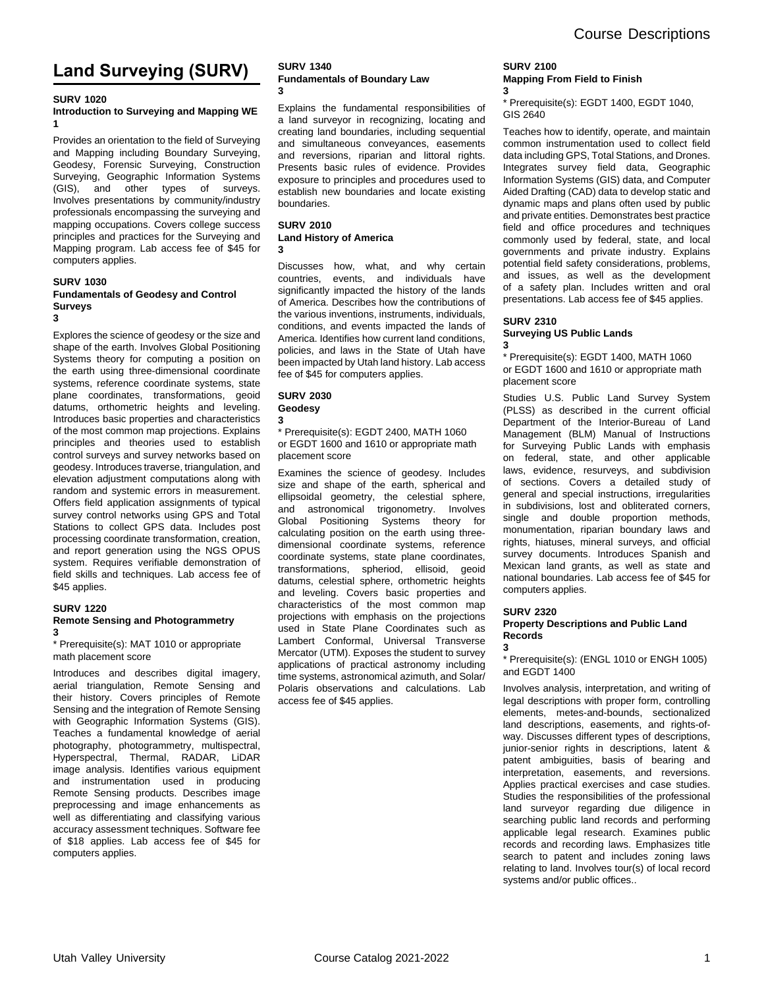# **Land Surveying (SURV)**

#### **SURV 1020**

#### **Introduction to Surveying and Mapping WE 1**

Provides an orientation to the field of Surveying and Mapping including Boundary Surveying, Geodesy, Forensic Surveying, Construction Surveying, Geographic Information Systems (GIS), and other types of surveys. Involves presentations by community/industry professionals encompassing the surveying and mapping occupations. Covers college success principles and practices for the Surveying and Mapping program. Lab access fee of \$45 for computers applies.

#### **SURV 1030 Fundamentals of Geodesy and Control Surveys 3**

Explores the science of geodesy or the size and shape of the earth. Involves Global Positioning Systems theory for computing a position on the earth using three-dimensional coordinate systems, reference coordinate systems, state plane coordinates, transformations, geoid datums, orthometric heights and leveling. Introduces basic properties and characteristics of the most common map projections. Explains principles and theories used to establish control surveys and survey networks based on geodesy. Introduces traverse, triangulation, and elevation adjustment computations along with random and systemic errors in measurement. Offers field application assignments of typical survey control networks using GPS and Total Stations to collect GPS data. Includes post processing coordinate transformation, creation, and report generation using the NGS OPUS system. Requires verifiable demonstration of field skills and techniques. Lab access fee of \$45 applies.

#### **SURV 1220 Remote Sensing and Photogrammetry 3**

\* Prerequisite(s): MAT 1010 or appropriate math placement score

Introduces and describes digital imagery, aerial triangulation, Remote Sensing and their history. Covers principles of Remote Sensing and the integration of Remote Sensing with Geographic Information Systems (GIS). Teaches a fundamental knowledge of aerial photography, photogrammetry, multispectral, Hyperspectral, Thermal, RADAR, LiDAR image analysis. Identifies various equipment and instrumentation used in producing Remote Sensing products. Describes image preprocessing and image enhancements as well as differentiating and classifying various accuracy assessment techniques. Software fee of \$18 applies. Lab access fee of \$45 for computers applies.

#### **SURV 1340 Fundamentals of Boundary Law 3**

Explains the fundamental responsibilities of a land surveyor in recognizing, locating and creating land boundaries, including sequential and simultaneous conveyances, easements and reversions, riparian and littoral rights. Presents basic rules of evidence. Provides exposure to principles and procedures used to establish new boundaries and locate existing boundaries.

#### **SURV 2010 Land History of America 3**

Discusses how, what, and why certain countries, events, and individuals have significantly impacted the history of the lands of America. Describes how the contributions of the various inventions, instruments, individuals, conditions, and events impacted the lands of America. Identifies how current land conditions, policies, and laws in the State of Utah have been impacted by Utah land history. Lab access fee of \$45 for computers applies.

#### **SURV 2030 Geodesy**

## **3**

\* Prerequisite(s): EGDT 2400, MATH 1060 or EGDT 1600 and 1610 or appropriate math placement score

Examines the science of geodesy. Includes size and shape of the earth, spherical and ellipsoidal geometry, the celestial sphere, and astronomical trigonometry. Involves Global Positioning Systems theory for calculating position on the earth using threedimensional coordinate systems, reference coordinate systems, state plane coordinates, transformations, spheriod, ellisoid, geoid datums, celestial sphere, orthometric heights and leveling. Covers basic properties and characteristics of the most common map projections with emphasis on the projections used in State Plane Coordinates such as Lambert Conformal, Universal Transverse Mercator (UTM). Exposes the student to survey applications of practical astronomy including time systems, astronomical azimuth, and Solar/ Polaris observations and calculations. Lab access fee of \$45 applies.

#### **SURV 2100 Mapping From Field to Finish 3**

\* Prerequisite(s): EGDT 1400, EGDT 1040, GIS 2640

Teaches how to identify, operate, and maintain common instrumentation used to collect field data including GPS, Total Stations, and Drones. Integrates survey field data, Geographic Information Systems (GIS) data, and Computer Aided Drafting (CAD) data to develop static and dynamic maps and plans often used by public and private entities. Demonstrates best practice field and office procedures and techniques commonly used by federal, state, and local governments and private industry. Explains potential field safety considerations, problems, and issues, as well as the development of a safety plan. Includes written and oral presentations. Lab access fee of \$45 applies.

## **SURV 2310**

**3**

## **Surveying US Public Lands**

\* Prerequisite(s): EGDT 1400, MATH 1060 or EGDT 1600 and 1610 or appropriate math placement score

Studies U.S. Public Land Survey System (PLSS) as described in the current official Department of the Interior-Bureau of Land Management (BLM) Manual of Instructions for Surveying Public Lands with emphasis on federal, state, and other applicable laws, evidence, resurveys, and subdivision of sections. Covers a detailed study of general and special instructions, irregularities in subdivisions, lost and obliterated corners, single and double proportion methods, monumentation, riparian boundary laws and rights, hiatuses, mineral surveys, and official survey documents. Introduces Spanish and Mexican land grants, as well as state and national boundaries. Lab access fee of \$45 for computers applies.

#### **SURV 2320 Property Descriptions and Public Land Records 3**

### \* Prerequisite(s): (ENGL 1010 or ENGH 1005) and EGDT 1400

Involves analysis, interpretation, and writing of legal descriptions with proper form, controlling elements, metes-and-bounds, sectionalized land descriptions, easements, and rights-ofway. Discusses different types of descriptions, junior-senior rights in descriptions, latent & patent ambiguities, basis of bearing and interpretation, easements, and reversions. Applies practical exercises and case studies. Studies the responsibilities of the professional land surveyor regarding due diligence in searching public land records and performing applicable legal research. Examines public records and recording laws. Emphasizes title search to patent and includes zoning laws relating to land. Involves tour(s) of local record systems and/or public offices..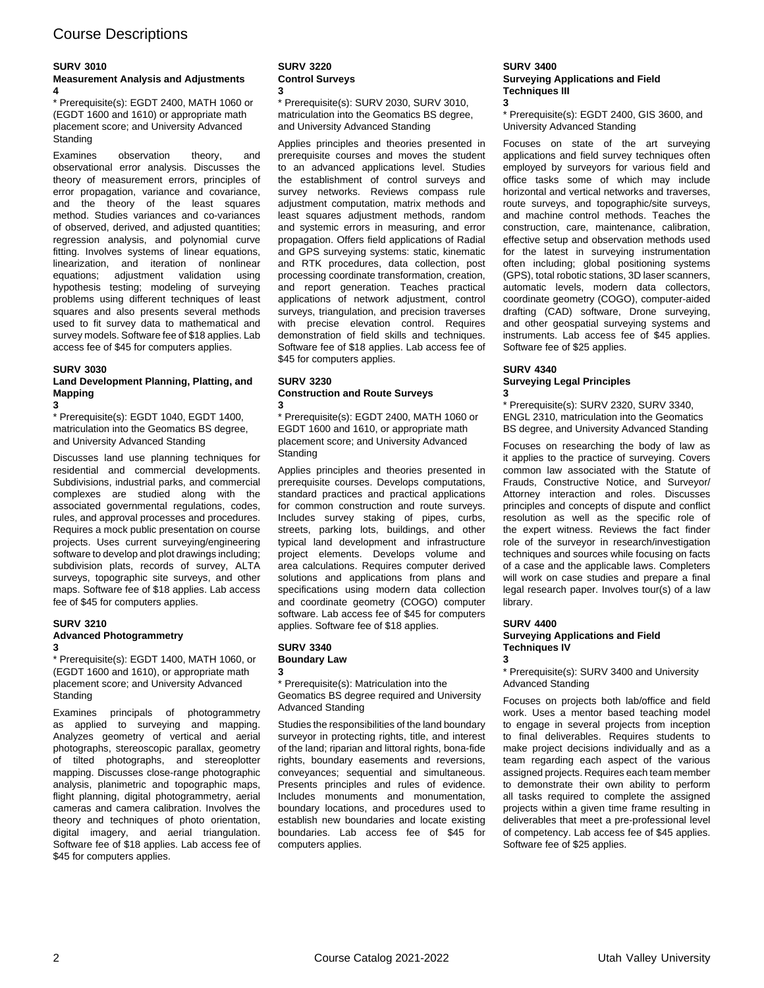## Course Descriptions

## **SURV 3010**

#### **Measurement Analysis and Adjustments 4**

\* Prerequisite(s): EGDT 2400, MATH 1060 or (EGDT 1600 and 1610) or appropriate math placement score; and University Advanced **Standing** 

Examines observation theory, and observational error analysis. Discusses the theory of measurement errors, principles of error propagation, variance and covariance, and the theory of the least squares method. Studies variances and co-variances of observed, derived, and adjusted quantities; regression analysis, and polynomial curve fitting. Involves systems of linear equations, linearization, and iteration of nonlinear equations; adjustment validation using hypothesis testing; modeling of surveying problems using different techniques of least squares and also presents several methods used to fit survey data to mathematical and survey models. Software fee of \$18 applies. Lab access fee of \$45 for computers applies.

#### **SURV 3030**

#### **Land Development Planning, Platting, and Mapping 3**

\* Prerequisite(s): EGDT 1040, EGDT 1400, matriculation into the Geomatics BS degree, and University Advanced Standing

Discusses land use planning techniques for residential and commercial developments. Subdivisions, industrial parks, and commercial complexes are studied along with the associated governmental regulations, codes, rules, and approval processes and procedures. Requires a mock public presentation on course projects. Uses current surveying/engineering software to develop and plot drawings including; subdivision plats, records of survey, ALTA surveys, topographic site surveys, and other maps. Software fee of \$18 applies. Lab access fee of \$45 for computers applies.

#### **SURV 3210 Advanced Photogrammetry 3**

\* Prerequisite(s): EGDT 1400, MATH 1060, or (EGDT 1600 and 1610), or appropriate math placement score; and University Advanced **Standing** 

Examines principals of photogrammetry as applied to surveying and mapping. Analyzes geometry of vertical and aerial photographs, stereoscopic parallax, geometry of tilted photographs, and stereoplotter mapping. Discusses close-range photographic analysis, planimetric and topographic maps, flight planning, digital photogrammetry, aerial cameras and camera calibration. Involves the theory and techniques of photo orientation, digital imagery, and aerial triangulation. Software fee of \$18 applies. Lab access fee of \$45 for computers applies.

#### **SURV 3220 Control Surveys 3**

\* Prerequisite(s): SURV 2030, SURV 3010, matriculation into the Geomatics BS degree, and University Advanced Standing

Applies principles and theories presented in prerequisite courses and moves the student to an advanced applications level. Studies the establishment of control surveys and survey networks. Reviews compass rule adjustment computation, matrix methods and least squares adjustment methods, random and systemic errors in measuring, and error propagation. Offers field applications of Radial and GPS surveying systems: static, kinematic and RTK procedures, data collection, post processing coordinate transformation, creation, and report generation. Teaches practical applications of network adjustment, control surveys, triangulation, and precision traverses with precise elevation control. Requires demonstration of field skills and techniques. Software fee of \$18 applies. Lab access fee of \$45 for computers applies.

#### **SURV 3230 Construction and Route Surveys 3**

\* Prerequisite(s): EGDT 2400, MATH 1060 or EGDT 1600 and 1610, or appropriate math placement score; and University Advanced **Standing** 

Applies principles and theories presented in prerequisite courses. Develops computations, standard practices and practical applications for common construction and route surveys. Includes survey staking of pipes, curbs, streets, parking lots, buildings, and other typical land development and infrastructure project elements. Develops volume and area calculations. Requires computer derived solutions and applications from plans and specifications using modern data collection and coordinate geometry (COGO) computer software. Lab access fee of \$45 for computers applies. Software fee of \$18 applies.

#### **SURV 3340 Boundary Law 3**

\* Prerequisite(s): Matriculation into the Geomatics BS degree required and University Advanced Standing

Studies the responsibilities of the land boundary surveyor in protecting rights, title, and interest of the land; riparian and littoral rights, bona-fide rights, boundary easements and reversions, conveyances; sequential and simultaneous. Presents principles and rules of evidence. Includes monuments and monumentation, boundary locations, and procedures used to establish new boundaries and locate existing boundaries. Lab access fee of \$45 for computers applies.

#### **SURV 3400 Surveying Applications and Field Techniques III 3**

\* Prerequisite(s): EGDT 2400, GIS 3600, and University Advanced Standing

Focuses on state of the art surveying applications and field survey techniques often employed by surveyors for various field and office tasks some of which may include horizontal and vertical networks and traverses, route surveys, and topographic/site surveys, and machine control methods. Teaches the construction, care, maintenance, calibration, effective setup and observation methods used for the latest in surveying instrumentation often including; global positioning systems (GPS), total robotic stations, 3D laser scanners, automatic levels, modern data collectors, coordinate geometry (COGO), computer-aided drafting (CAD) software, Drone surveying, and other geospatial surveying systems and instruments. Lab access fee of \$45 applies. Software fee of \$25 applies.

#### **SURV 4340 Surveying Legal Principles 3**

\* Prerequisite(s): SURV 2320, SURV 3340, ENGL 2310, matriculation into the Geomatics BS degree, and University Advanced Standing

Focuses on researching the body of law as it applies to the practice of surveying. Covers common law associated with the Statute of Frauds, Constructive Notice, and Surveyor/ Attorney interaction and roles. Discusses principles and concepts of dispute and conflict resolution as well as the specific role of the expert witness. Reviews the fact finder role of the surveyor in research/investigation techniques and sources while focusing on facts of a case and the applicable laws. Completers will work on case studies and prepare a final legal research paper. Involves tour(s) of a law library.

## **SURV 4400**

#### **Surveying Applications and Field Techniques IV 3**

## \* Prerequisite(s): SURV 3400 and University Advanced Standing

Focuses on projects both lab/office and field work. Uses a mentor based teaching model to engage in several projects from inception to final deliverables. Requires students to make project decisions individually and as a team regarding each aspect of the various assigned projects. Requires each team member to demonstrate their own ability to perform all tasks required to complete the assigned projects within a given time frame resulting in deliverables that meet a pre-professional level of competency. Lab access fee of \$45 applies. Software fee of \$25 applies.